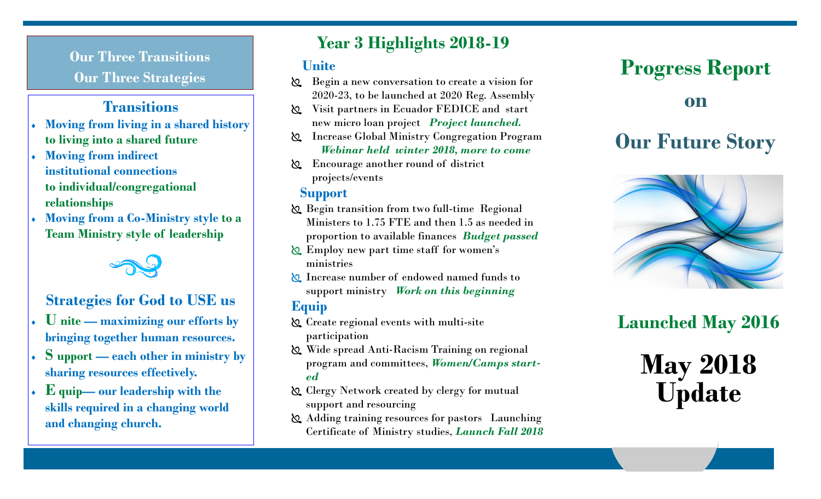**Our Three Transitions Our Three Strategies**<br> **Our Three Strategies** 

### **Transitions**

- **Moving from living in a shared history to living into a shared future**
- **Moving from indirect institutional connections to individual/congregational relationships**
- **Moving from a Co-Ministry style to a Team Ministry style of leadership**



### **Strategies for God to USE us**

- **U nite — maximizing our efforts by bringing together human resources.**
- **S upport — each other in ministry by sharing resources effectively.**
- **E quip— our leadership with the skills required in a changing world and changing church.**

## **Year 3 Highlights 2018-19**

### **Unite**

- Begin a new conversation to create a vision for 2020-23, to be launched at 2020 Reg. Assembly
- Visit partners in Ecuador FEDICE and start new micro loan project *Project launched.*
- Increase Global Ministry Congregation Program *Webinar held winter 2018, more to come*
- Encourage another round of district projects/events

### **Support**

- Begin transition from two full-time Regional Ministers to 1.75 FTE and then 1.5 as needed in proportion to available finances *Budget passed*
- Employ new part time staff for women's ministries
- Increase number of endowed named funds to support ministry *Work on this beginning*

### **Equip**

- Create regional events with multi-site participation
- Wide spread Anti-Racism Training on regional program and committees, *Women/Camps started*
- Clergy Network created by clergy for mutual support and resourcing
- Adding training resources for pastors Launching Certificate of Ministry studies, *Launch Fall 2018*

**on**

# **Our Future Story**



# **Launched May 2016**

# **May 2018 Update**